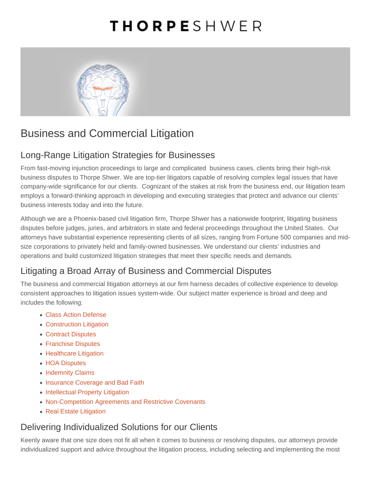# Business and Commercial Litigation

## Long-Range Litigation Strategies for Businesses

From fast-moving injunction proceedings to large and complicated business cases, clients bring their high-risk business disputes to Thorpe Shwer. We are top-tier litigators capable of resolving complex legal issues that have company-wide significance for our clients. Cognizant of the stakes at risk from the business end, our litigation team employs a forward-thinking approach in developing and executing strategies that protect and advance our clients' business interests today and into the future.

Although we are a Phoenix-based civil litigation firm, Thorpe Shwer has a nationwide footprint, litigating business disputes before judges, juries, and arbitrators in state and federal proceedings throughout the United States. Our attorneys have substantial experience representing clients of all sizes, ranging from Fortune 500 companies and midsize corporations to privately held and family-owned businesses. We understand our clients' industries and operations and build customized litigation strategies that meet their specific needs and demands.

# Litigating a Broad Array of Business and Commercial Disputes

The business and commercial litigation attorneys at our firm harness decades of collective experience to develop consistent approaches to litigation issues system-wide. Our subject matter experience is broad and deep and includes the following:

- [Class Action Defense](/what-we-do/business-and-commercial-litigation/class-action-defense/)
- [Construction Litigation](/what-we-do/business-and-commercial-litigation/construction-litigation/)
- [Contract Disputes](/what-we-do/business-and-commercial-litigation/contract-disputes/)
- [Franchise Disputes](/what-we-do/business-and-commercial-litigation/franchise-disputes/)
- [Healthcare Litigation](/what-we-do/business-and-commercial-litigation/healthcare-litigation/)
- [HOA Disputes](/what-we-do/business-and-commercial-litigation/hoa-disputes/)
- [Indemnity Claims](/what-we-do/business-and-commercial-litigation/indemnity-claims/)
- [Insurance Coverage and Bad Faith](/what-we-do/business-and-commercial-litigation/insurance-coverage-and-bad-faith/)
- [Intellectual Property Litigation](/what-we-do/business-and-commercial-litigation/intellectual-property-litigation/)
- [Non-Competition Agreements and Restrictive Covenants](/what-we-do/business-and-commercial-litigation/non-competition-agreements-and-restrictive-covenants/)
- [Real Estate Litigation](/what-we-do/business-and-commercial-litigation/real-estate-litigation/)

#### Delivering Individualized Solutions for our Clients

Keenly aware that one size does not fit all when it comes to business or resolving disputes, our attorneys provide individualized support and advice throughout the litigation process, including selecting and implementing the most